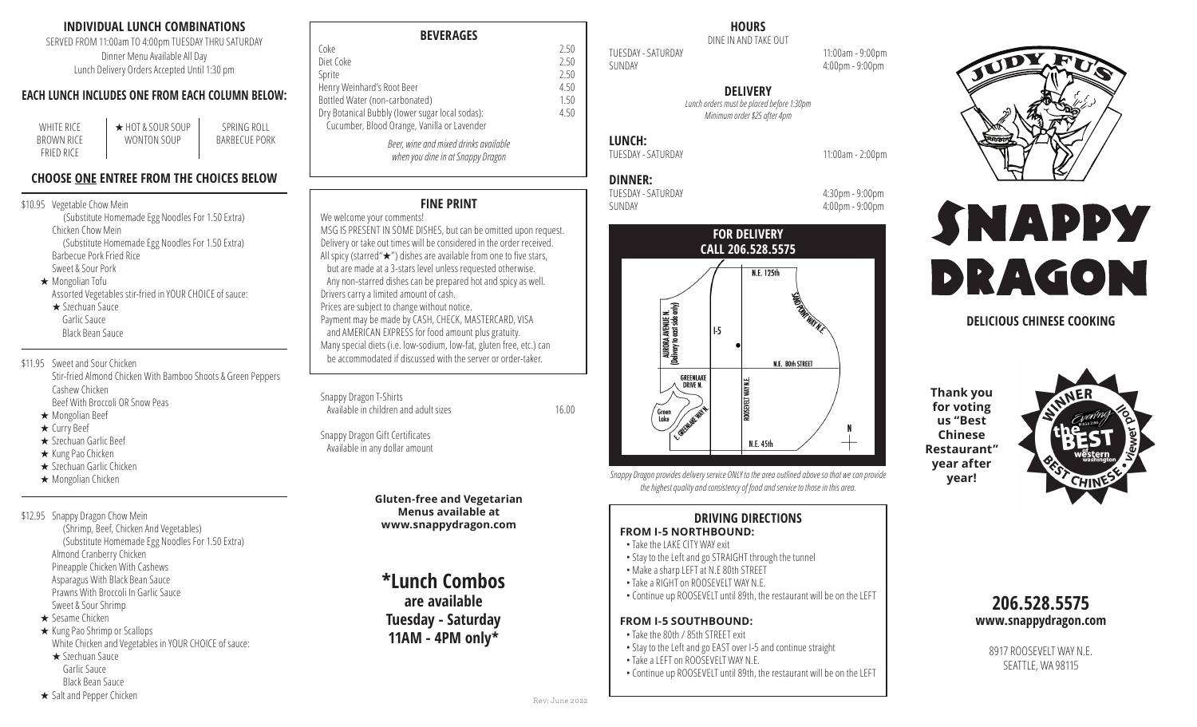## **INDIVIDUAL LUNCH COMBINATIONS**

SERVED FROM 11:00am TO 4:00pm TUESDAY THRU SATURDAY Dinner Menu Available All Day Lunch Delivery Orders Accepted Until 1:30 pm

## **EACH LUNCH INCLUDES ONE FROM EACH COLUMN BELOW:**

SPRING ROLL BARBECUE PORK

| WHITE RICE        | ★ HOT & SOUR SOUP |  |
|-------------------|-------------------|--|
| BROWN RICE        | WONTON SOUP       |  |
| <b>FRIFD RICE</b> |                   |  |

## **CHOOSE ONE ENTREE FROM THE CHOICES BELOW**

#### \$10.95 Vegetable Chow Mein

(Substitute Homemade Egg Noodles For 1.50 Extra) Chicken Chow Mein (Substitute Homemade Egg Noodles For 1.50 Extra) Barbecue Pork Fried Rice Sweet & Sour Pork

 $\star$  Mongolian Tofu Assorted Vegetables stir-fried in YOUR CHOICE of sauce:  $\star$  Szechuan Sauce

Garlic Sauce Black Bean Sauce

\$11.95 Sweet and Sour Chicken Stir-fried Almond Chicken With Bamboo Shoots & Green Peppers Cashew Chicken Beef With Broccoli OR Snow Peas

- $\star$  Mongolian Beef
- $\star$  Curry Beef
- $\star$  Szechuan Garlic Beef
- ★ Kung Pao Chicken
- $\star$  Szechuan Garlic Chicken
- ★ Mongolian Chicken

\$12.95 Snappy Dragon Chow Mein

- (Shrimp, Beef, Chicken And Vegetables) (Substitute Homemade Egg Noodles For 1.50 Extra) Almond Cranberry Chicken Pineapple Chicken With Cashews Asparagus With Black Bean Sauce Prawns With Broccoli In Garlic Sauce Sweet & Sour Shrimp
- $\star$  Sesame Chicken

 $\star$  Kung Pao Shrimp or Scallops White Chicken and Vegetables in YOUR CHOICE of sauce:

- $\star$  Szechuan Sauce Garlic Sauce Black Bean Sauce
- 

#### $\star$  Salt and Pepper Chicken

| <b>BEVERAGES</b> |
|------------------|
|------------------|

| Coke                                                                       | 2.50 |
|----------------------------------------------------------------------------|------|
| Diet Coke                                                                  | 2.50 |
| Sprite                                                                     | 2.50 |
| Henry Weinhard's Root Beer                                                 | 4.50 |
| Bottled Water (non-carbonated)                                             | 1.50 |
| Dry Botanical Bubbly (lower sugar local sodas):                            | 4.50 |
| Cucumber, Blood Orange, Vanilla or Lavender                                |      |
| Beer, wine and mixed drinks available<br>when you dine in at Snappy Dragon |      |

# **FINE PRINT**

#### We welcome your comments!

MSG IS PRESENT IN SOME DISHES, but can be omitted upon request. Delivery or take out times will be considered in the order received. All spicy (starred" $\star$ ") dishes are available from one to five stars, but are made at a 3-stars level unless requested otherwise. Any non-starred dishes can be prepared hot and spicy as well. Drivers carry a limited amount of cash. Prices are subject to change without notice. Payment may be made by CASH, CHECK, MASTERCARD, VISA and AMERICAN EXPRESS for food amount plus gratuity. Many special diets (i.e. low-sodium, low-fat, gluten free, etc.) can be accommodated if discussed with the server or order-taker.

Available in children and adult sizes 16.00

Snappy Dragon Gift Certificates Available in any dollar amount

Snappy Dragon T-Shirts

**Gluten-free and Vegetarian Menus available at www.snappydragon.com**

**\*Lunch Combos are available Tuesday - Saturday 11AM - 4PM only\***

# **HOURS**

DINE IN AND TAKE OUT TUESDAY - SATURDAY 11:00am - 9:00pm SUNDAY 4:00pm - 9:00pm

**DELIVERY**

*Lunch orders must be placed before 1:30pm Minimum order \$25 after 4pm* 

# **LUNCH:**

**DINNER:**

TUESDAY - SATURDAY 11:00am - 2:00pm

TUESDAY - SATURDAY 4:30pm - 9:00pm SUNDAY 4:00pm - 9:00pm



*Snappy Dragon provides delivery service ONLY to the area outlined above so that we can provide the highest quality and consistency of food and service to those in this area.*

# **DRIVING DIRECTIONS**

#### **FROM I-5 NORTHBOUND:**

- Take the LAKE CITY WAY exit
- Stay to the Left and go STRAIGHT through the tunnel
- Make a sharp LEFT at N.E 80th STREET
- Take a RIGHT on ROOSEVELT WAY N.E.
- Continue up ROOSEVELT until 89th, the restaurant will be on the LEFT

## **FROM I-5 SOUTHBOUND:**

- Take the 80th / 85th STREET exit
- Stay to the Left and go EAST over I-5 and continue straight
- Take a LEFT on ROOSEVELT WAY N.E. • Continue up ROOSEVELT until 89th, the restaurant will be on the LEFT



# SNAPPY DRAGON

# **DELICIOUS CHINESE COOKING**

**Thank you for voting us "Best Chinese Restaurant" year after year!**



# **206.528.5575 www.snappydragon.com**

8917 ROOSEVELT WAY N.F. SEATTLE, WA 98115